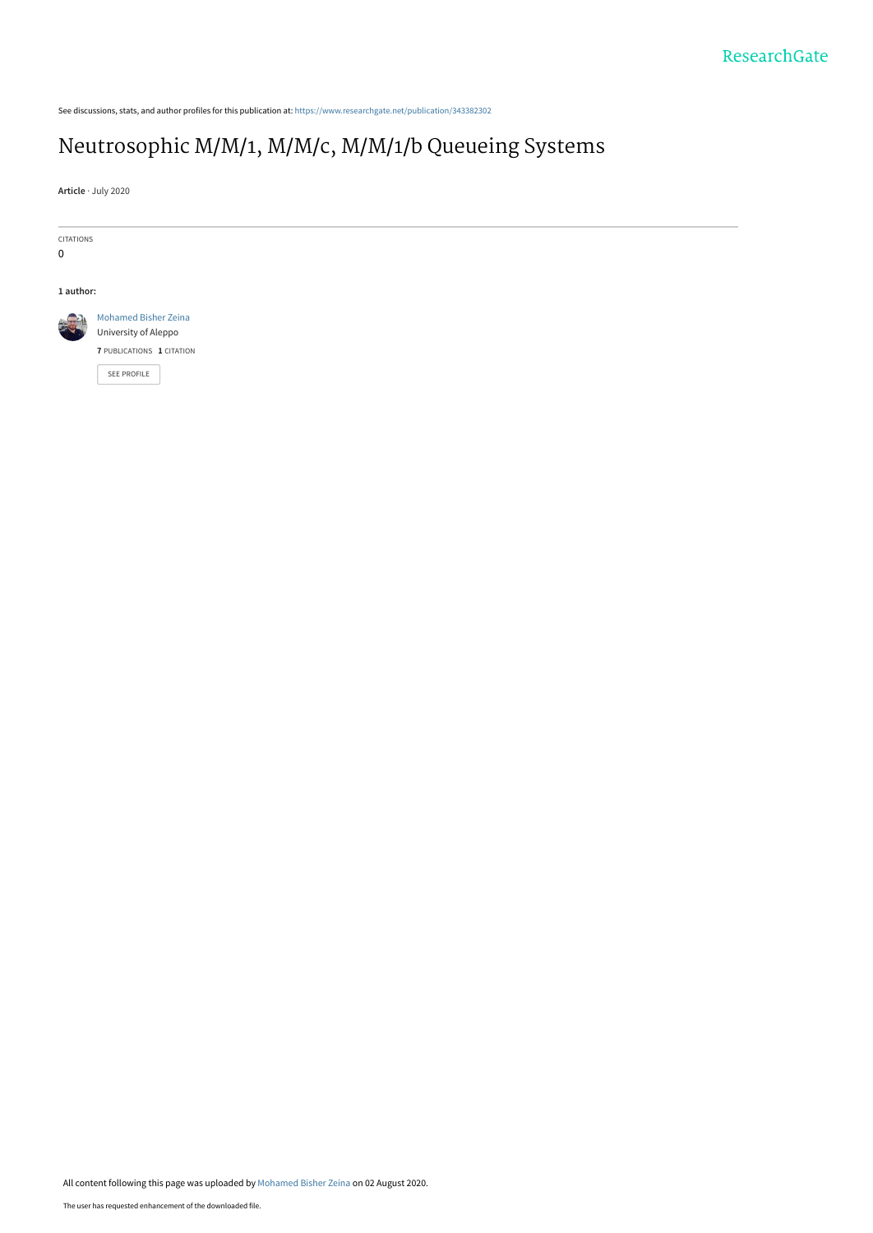See discussions, stats, and author profiles for this publication at: [https://www.researchgate.net/publication/343382302](https://www.researchgate.net/publication/343382302_Neutrosophic_MM1_MMc_MM1b_Queueing_Systems?enrichId=rgreq-8b2f637e83a046d7cd6006aaf899bd2f-XXX&enrichSource=Y292ZXJQYWdlOzM0MzM4MjMwMjtBUzo5MjAwNDgyNzMxOTUwMDlAMTU5NjM2ODAxMDc3OA%3D%3D&el=1_x_2&_esc=publicationCoverPdf)

# [Neutrosophic M/M/1, M/M/c, M/M/1/b Queueing Systems](https://www.researchgate.net/publication/343382302_Neutrosophic_MM1_MMc_MM1b_Queueing_Systems?enrichId=rgreq-8b2f637e83a046d7cd6006aaf899bd2f-XXX&enrichSource=Y292ZXJQYWdlOzM0MzM4MjMwMjtBUzo5MjAwNDgyNzMxOTUwMDlAMTU5NjM2ODAxMDc3OA%3D%3D&el=1_x_3&_esc=publicationCoverPdf)

**Article** · July 2020

CITATIONS

0

#### **1 author:**



[University of Aleppo](https://www.researchgate.net/institution/University_of_Aleppo?enrichId=rgreq-8b2f637e83a046d7cd6006aaf899bd2f-XXX&enrichSource=Y292ZXJQYWdlOzM0MzM4MjMwMjtBUzo5MjAwNDgyNzMxOTUwMDlAMTU5NjM2ODAxMDc3OA%3D%3D&el=1_x_6&_esc=publicationCoverPdf) **7** PUBLICATIONS **1** CITATION

[SEE PROFILE](https://www.researchgate.net/profile/Mohamed_Bisher_Zeina2?enrichId=rgreq-8b2f637e83a046d7cd6006aaf899bd2f-XXX&enrichSource=Y292ZXJQYWdlOzM0MzM4MjMwMjtBUzo5MjAwNDgyNzMxOTUwMDlAMTU5NjM2ODAxMDc3OA%3D%3D&el=1_x_7&_esc=publicationCoverPdf)

All content following this page was uploaded by [Mohamed Bisher Zeina](https://www.researchgate.net/profile/Mohamed_Bisher_Zeina2?enrichId=rgreq-8b2f637e83a046d7cd6006aaf899bd2f-XXX&enrichSource=Y292ZXJQYWdlOzM0MzM4MjMwMjtBUzo5MjAwNDgyNzMxOTUwMDlAMTU5NjM2ODAxMDc3OA%3D%3D&el=1_x_10&_esc=publicationCoverPdf) on 02 August 2020.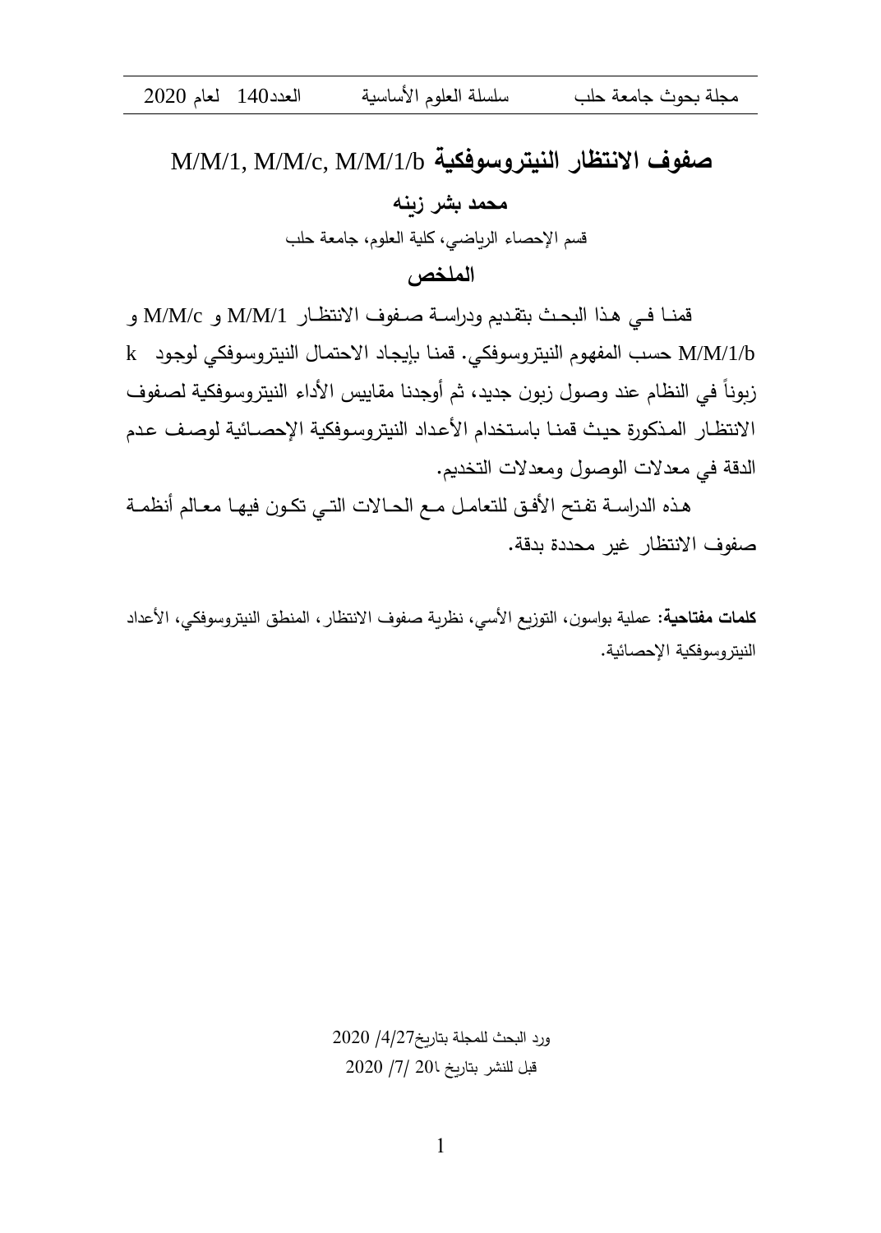# M/M/1, M/M/c, M/M/1/b **النيتروسوفكية االنتظار صفوف محمد بشر زينه**  قسم اإلحصاء الرياضي، كلية العلوم، جامعة حلب **الملخص**

قمنا في هذا البحث بتقديم ودراسة صفوف الانتظار M/M/1 و M/M/c و b/1/M/M حساب الم ماوم النس رتساوهني قمناا بحاجااد ا ح مااك النس رتساوهني لوجاود k زبونا في النظام عند وصول زبون جديد، ثم أوجدنا مقاييس الأداء النيتروسوفكية لصفوف الانتظار المذكورة حيث قمنا باستخدام الأعداد النيتروسوفكية الإحصائية لوصف عدم الدقة في معدلات الوصول ومعدلات التخديم.

هذه الدراسة تفتح الأفق للتعامل مـع الحـالات التـي تكـون فيهـا معـالم أنظمـة صفوف الانتظار غير محددة بدقة.

<mark>كلمات مفتاحية</mark>: عملية بواسون، التوزيع الأسي، نظرية صفوف الانتظار ، المنطق النيتروسوفكي، الأعداد النيتر وسوفكية الإحصائية.

> ورد البحث للمجلة بتاريخ4/27/ 2020  $2020$   $/7$  /  $201$  20 $1$ قبل للنشر بتاريخ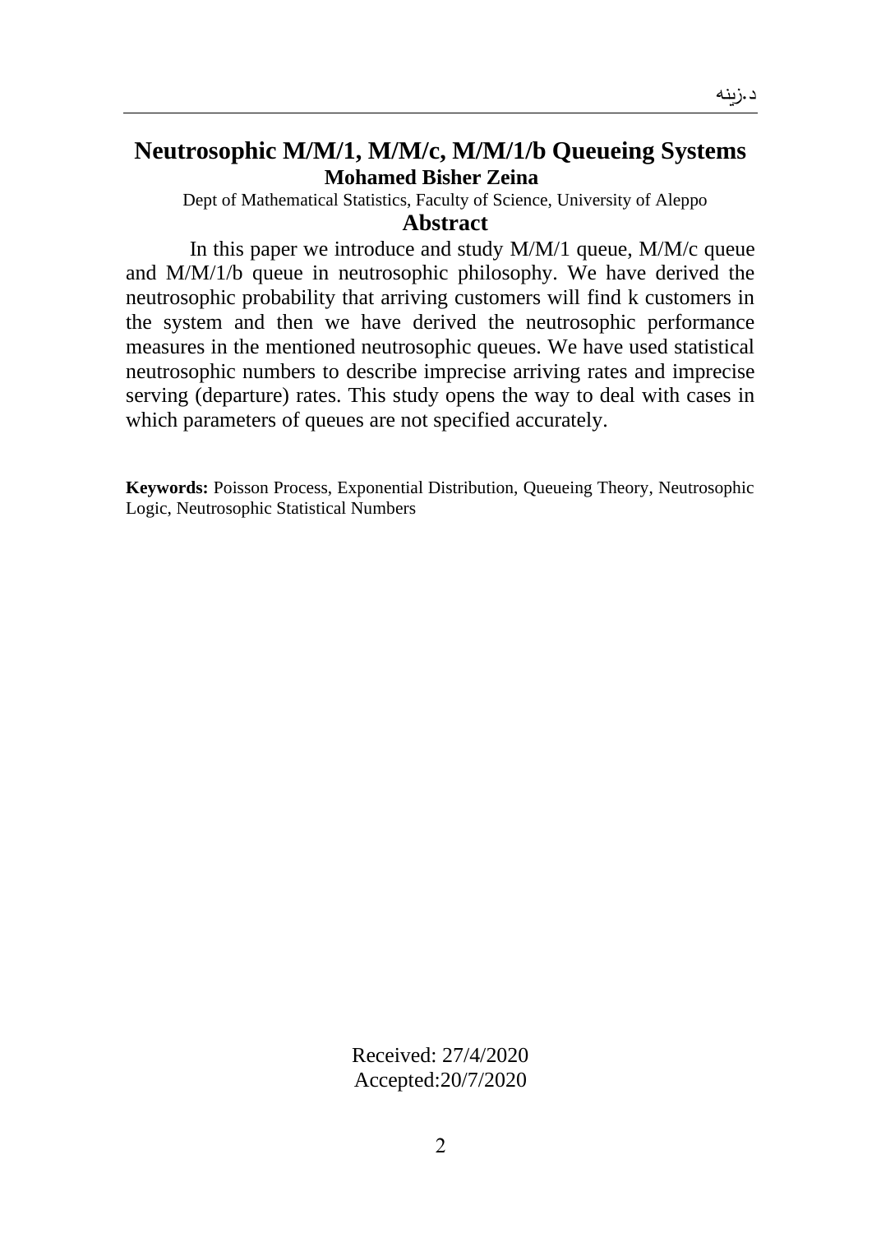# **Neutrosophic M/M/1, M/M/c, M/M/1/b Queueing Systems Mohamed Bisher Zeina**

Dept of Mathematical Statistics, Faculty of Science, University of Aleppo

#### **Abstract**

In this paper we introduce and study M/M/1 queue, M/M/c queue and M/M/1/b queue in neutrosophic philosophy. We have derived the neutrosophic probability that arriving customers will find k customers in the system and then we have derived the neutrosophic performance measures in the mentioned neutrosophic queues. We have used statistical neutrosophic numbers to describe imprecise arriving rates and imprecise serving (departure) rates. This study opens the way to deal with cases in which parameters of queues are not specified accurately.

**Keywords:** Poisson Process, Exponential Distribution, Queueing Theory, Neutrosophic Logic, Neutrosophic Statistical Numbers

> Received: 27/4/2020 Accepted:20/7/2020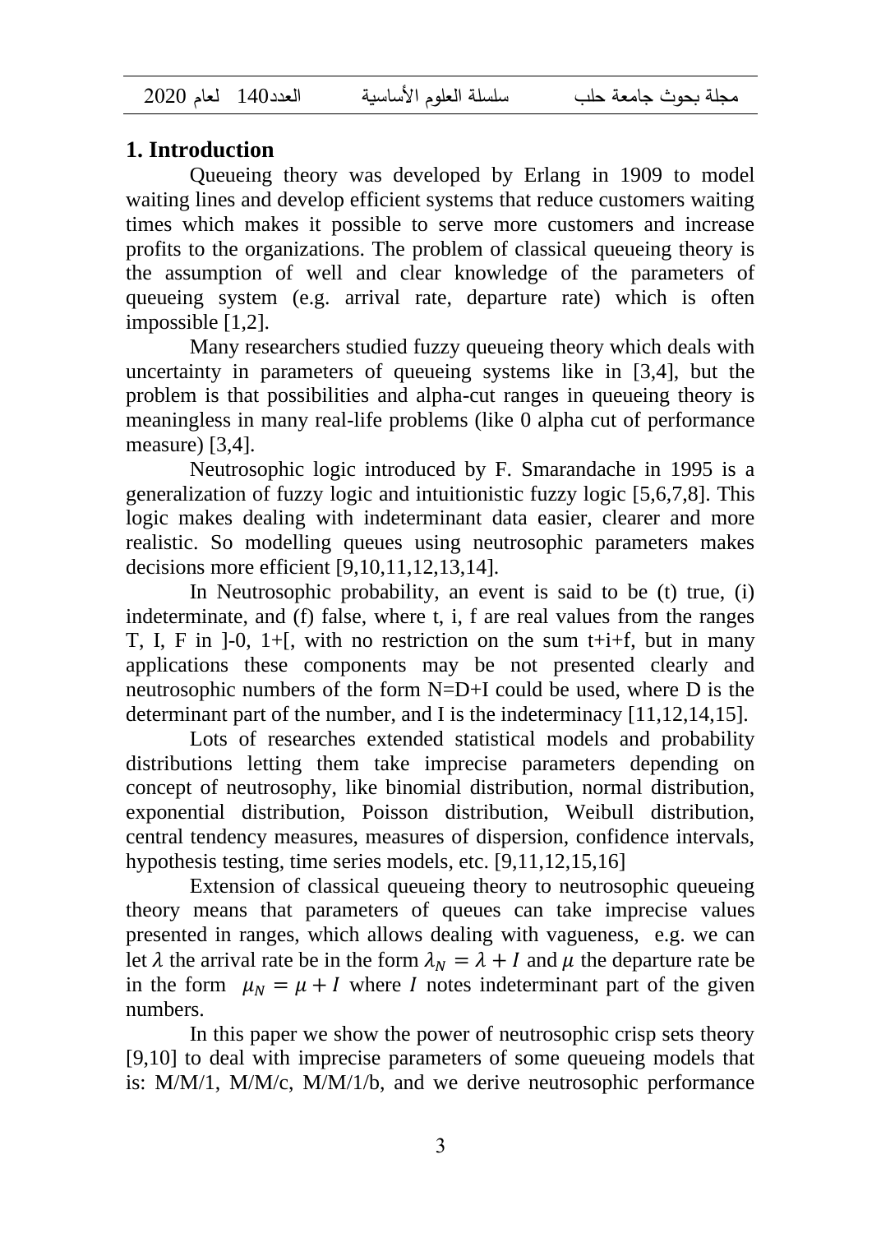مجلة بحوث جامعة حلب سلسلة العلوم األساسية العدد140 لعام 2020

# **1. Introduction**

Queueing theory was developed by Erlang in 1909 to model waiting lines and develop efficient systems that reduce customers waiting times which makes it possible to serve more customers and increase profits to the organizations. The problem of classical queueing theory is the assumption of well and clear knowledge of the parameters of queueing system (e.g. arrival rate, departure rate) which is often impossible [1,2].

Many researchers studied fuzzy queueing theory which deals with uncertainty in parameters of queueing systems like in [3,4], but the problem is that possibilities and alpha-cut ranges in queueing theory is meaningless in many real-life problems (like 0 alpha cut of performance measure) [3,4].

Neutrosophic logic introduced by F. Smarandache in 1995 is a generalization of fuzzy logic and intuitionistic fuzzy logic [5,6,7,8]. This logic makes dealing with indeterminant data easier, clearer and more realistic. So modelling queues using neutrosophic parameters makes decisions more efficient [9,10,11,12,13,14].

In Neutrosophic probability, an event is said to be (t) true, (i) indeterminate, and (f) false, where t, i, f are real values from the ranges T, I, F in  $]-0$ ,  $1+$ , with no restriction on the sum  $t+i+f$ , but in many applications these components may be not presented clearly and neutrosophic numbers of the form N=D+I could be used, where D is the determinant part of the number, and I is the indeterminacy [11,12,14,15].

Lots of researches extended statistical models and probability distributions letting them take imprecise parameters depending on concept of neutrosophy, like binomial distribution, normal distribution, exponential distribution, Poisson distribution, Weibull distribution, central tendency measures, measures of dispersion, confidence intervals, hypothesis testing, time series models, etc. [9,11,12,15,16]

Extension of classical queueing theory to neutrosophic queueing theory means that parameters of queues can take imprecise values presented in ranges, which allows dealing with vagueness, e.g. we can let  $\lambda$  the arrival rate be in the form  $\lambda_N = \lambda + I$  and  $\mu$  the departure rate be in the form  $\mu_N = \mu + I$  where I notes indeterminant part of the given numbers.

In this paper we show the power of neutrosophic crisp sets theory [9,10] to deal with imprecise parameters of some queueing models that is: M/M/1, M/M/c, M/M/1/b, and we derive neutrosophic performance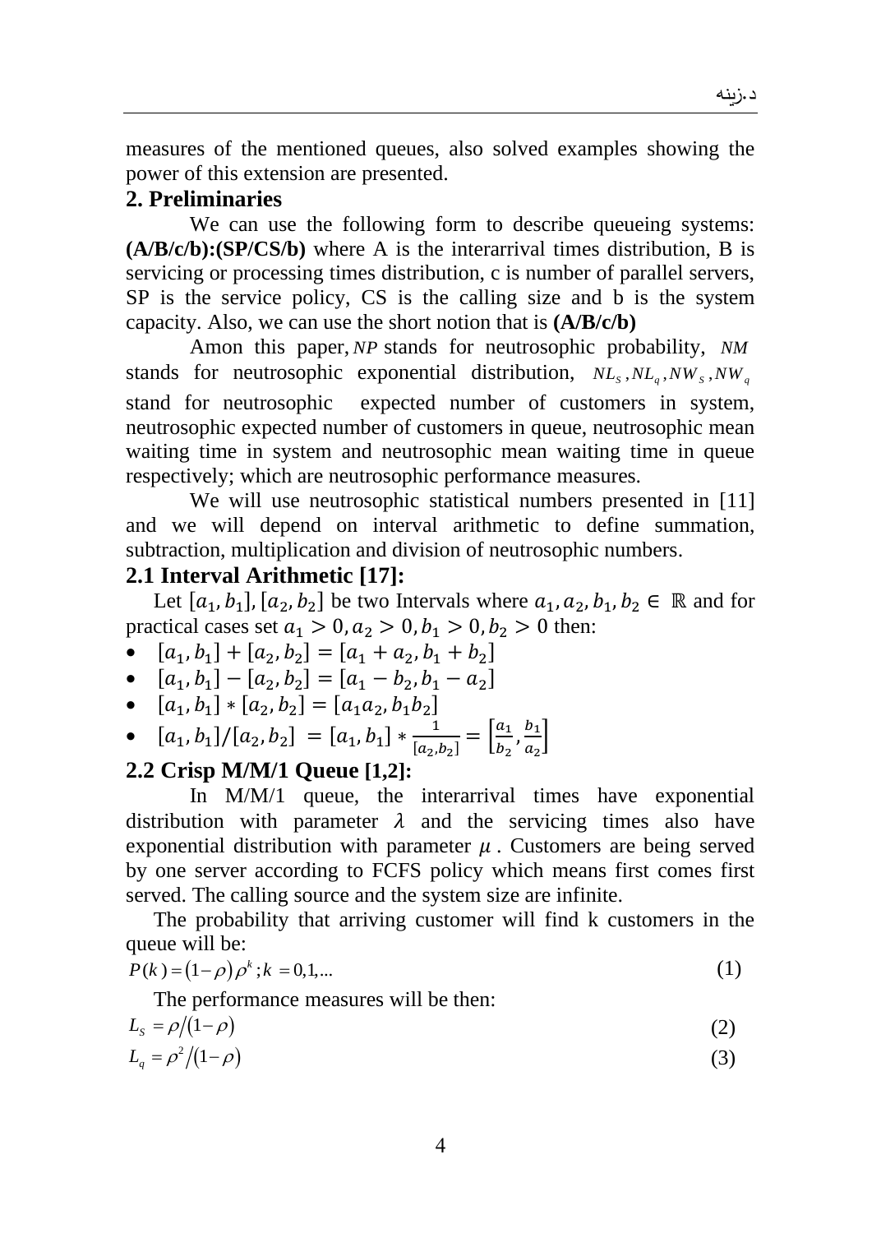measures of the mentioned queues, also solved examples showing the power of this extension are presented.

# **2. Preliminaries**

We can use the following form to describe queueing systems: **(A/B/c/b):(SP/CS/b)** where A is the interarrival times distribution, B is servicing or processing times distribution, c is number of parallel servers, SP is the service policy, CS is the calling size and b is the system capacity. Also, we can use the short notion that is **(A/B/c/b)**

Amon this paper, *NP* stands for neutrosophic probability, *NM* stands for neutrosophic exponential distribution,  $NL_s, NL_q, NW_s, NW_q$ stand for neutrosophic expected number of customers in system, neutrosophic expected number of customers in queue, neutrosophic mean waiting time in system and neutrosophic mean waiting time in queue respectively; which are neutrosophic performance measures.

We will use neutrosophic statistical numbers presented in [11] and we will depend on interval arithmetic to define summation, subtraction, multiplication and division of neutrosophic numbers.

### **2.1 Interval Arithmetic [17]:**

Let  $[a_1, b_1], [a_2, b_2]$  be two Intervals where  $a_1, a_2, b_1, b_2 \in \mathbb{R}$  and for practical cases set  $a_1 > 0, a_2 > 0, b_1 > 0, b_2 > 0$  then:

• 
$$
[a_1, b_1] + [a_2, b_2] = [a_1 + a_2, b_1 + b_2]
$$

• 
$$
[a_1, b_1] - [a_2, b_2] = [a_1 - b_2, b_1 - a_2]
$$

• 
$$
[a_1, b_1] * [a_2, b_2] = [a_1 a_2, b_1 b_2]
$$

• 
$$
[a_1, b_1]/[a_2, b_2] = [a_1, b_1] * \frac{1}{[a_2, b_2]} = \left[\frac{a_1}{b_2}, \frac{b_1}{a_2}\right]
$$

## **2.2 Crisp M/M/1 Queue [1,2]:**

In M/M/1 queue, the interarrival times have exponential distribution with parameter  $\lambda$  and the servicing times also have exponential distribution with parameter  $\mu$ . Customers are being served by one server according to FCFS policy which means first comes first served. The calling source and the system size are infinite.

The probability that arriving customer will find k customers in the queue will be:

$$
P(k) = (1 - \rho)\rho^k; k = 0, 1, \dots
$$
 (1)

The performance measures will be then:

$$
L_s = \rho/(1-\rho) \tag{2}
$$

$$
L_q = \rho^2 / (1 - \rho) \tag{3}
$$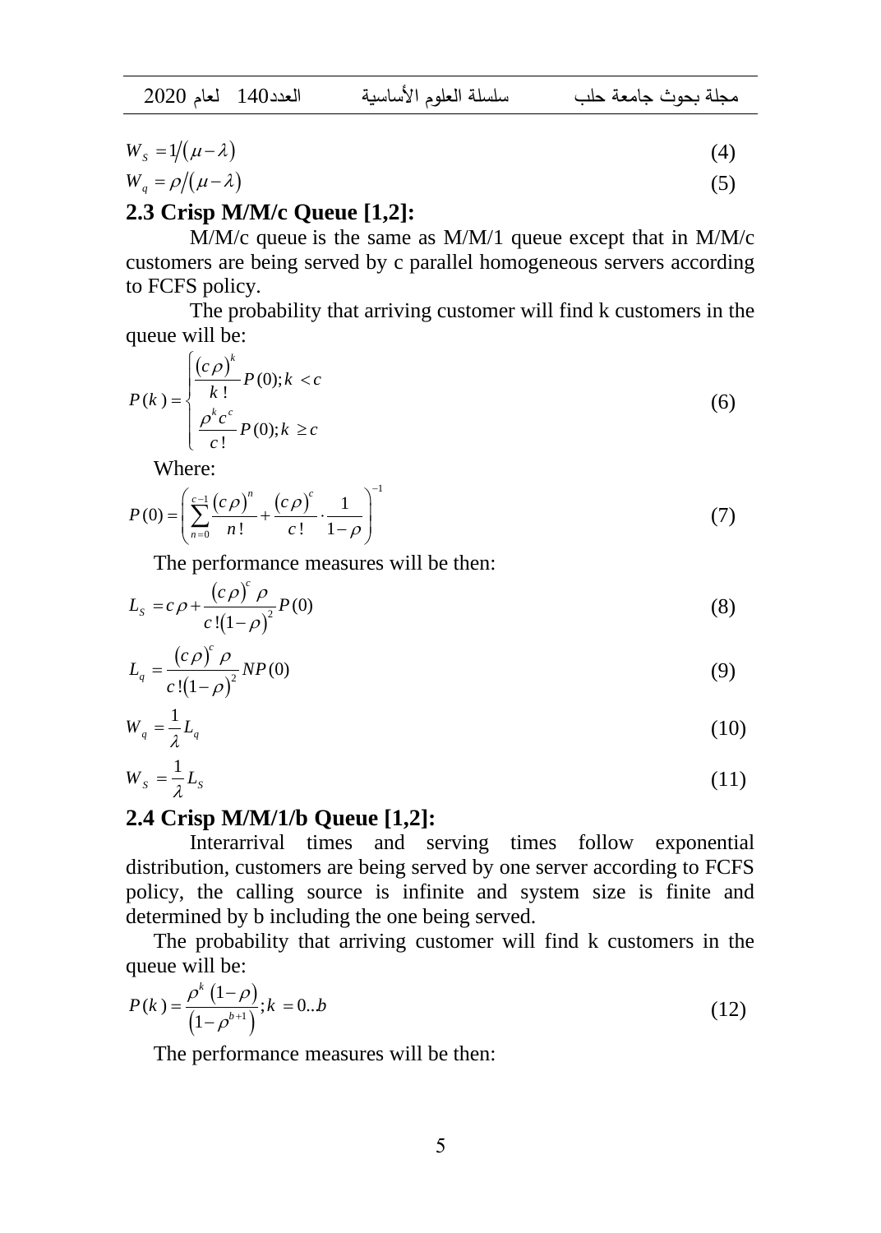| العدد140 لعام 2020 | سلسلة العلوم الأساسية |  | محلة يحوث حامعة حلب |
|--------------------|-----------------------|--|---------------------|
|--------------------|-----------------------|--|---------------------|

$$
W_s = 1/(\mu - \lambda) \tag{4}
$$

$$
W_q = \rho / (\mu - \lambda) \tag{5}
$$

# **2.3 Crisp M/M/c Queue [1,2]:**

M/M/c queue is the same as M/M/1 queue except that in M/M/c customers are being served by c parallel homogeneous servers according to FCFS policy.

The probability that arriving customer will find k customers in the queue will be:

$$
P(k) = \begin{cases} \frac{\left(c \rho\right)^{k}}{k!} P(0); k < c\\ \frac{\rho^{k} c^{c}}{c!} P(0); k \geq c \end{cases} \tag{6}
$$

Where:

$$
P(0) = \left(\sum_{n=0}^{c-1} \frac{(c \rho)^n}{n!} + \frac{(c \rho)^c}{c!} \cdot \frac{1}{1-\rho}\right)^{-1}
$$
(7)

The performance measures will be then:

$$
L_s = c \rho + \frac{(c \rho)^c \rho}{c! (1 - \rho)^2} P(0)
$$
\n(8)

$$
L_q = \frac{(c\rho)^c \rho}{c\left(1-\rho\right)^2} NP(0) \tag{9}
$$

$$
W_q = \frac{1}{\lambda} L_q \tag{10}
$$

$$
W_s = \frac{1}{\lambda} L_s \tag{11}
$$

# **2.4 Crisp M/M/1/b Queue [1,2]:**

Interarrival times and serving times follow exponential distribution, customers are being served by one server according to FCFS policy, the calling source is infinite and system size is finite and determined by b including the one being served.

The probability that arriving customer will find k customers in the queue will be:

$$
P(k) = \frac{\rho^{k} (1 - \rho)}{(1 - \rho^{b+1})}; k = 0..b
$$
 (12)

The performance measures will be then: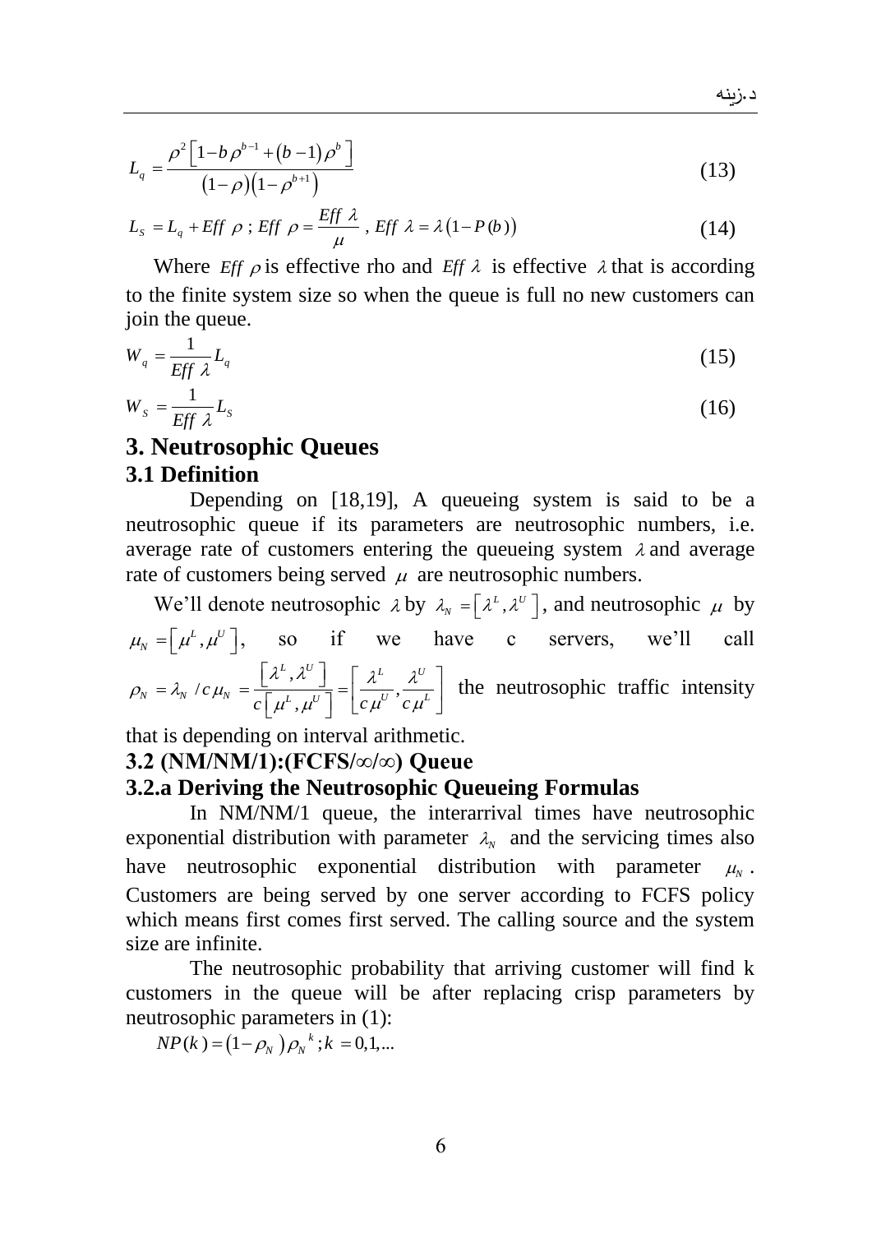$$
L_q = \frac{\rho^2 \left[1 - b \rho^{b-1} + (b-1) \rho^b\right]}{(1 - \rho)(1 - \rho^{b+1})}
$$
\n(13)

$$
L_s = L_q + \text{Eff } \rho \; ; \text{Eff } \rho = \frac{\text{Eff } \lambda}{\mu} \; , \text{Eff } \lambda = \lambda \big( 1 - P(b) \big) \tag{14}
$$

Where *Eff*  $\rho$  is effective rho and *Eff*  $\lambda$  is effective  $\lambda$  that is according to the finite system size so when the queue is full no new customers can join the queue.

$$
W_q = \frac{1}{Eff \lambda} L_q \tag{15}
$$

$$
W_s = \frac{1}{\text{Eff } \lambda} L_s \tag{16}
$$

# **3. Neutrosophic Queues 3.1 Definition**

Depending on [18,19], A queueing system is said to be a neutrosophic queue if its parameters are neutrosophic numbers, i.e. average rate of customers entering the queueing system  $\lambda$  and average rate of customers being served  $\mu$  are neutrosophic numbers.

We'll denote neutrosophic  $\lambda$  by  $\lambda_N = [\lambda^L, \lambda^U]$ , and neutrosophic  $\mu$  by  $\mu_{N} = \left[ \mu^{L}, \mu^{U} \right],$  so if we have c servers, we'll call  $\sqrt{c} \mu_N = \frac{\left[\lambda^L, \lambda^U\right]}{c \left[\mu^L, \mu^U\right]} = \left[\frac{\lambda^L}{c \mu^U},\right]$  $L, \lambda^U$   $\begin{bmatrix} \lambda^L & \lambda^U \end{bmatrix}$  $\lambda_N = \lambda_N / c \mu_N = \frac{[\lambda \cdot \lambda]}{c [\mu^L, \mu^U]} = \frac{\lambda^L}{c \mu^U}, \frac{\lambda^U}{c \mu^L}$  $\mu_N = \begin{bmatrix} \mu^*, \mu^* \end{bmatrix}$ , so if we have<br>  $\rho_N = \lambda_N / c \mu_N = \frac{\begin{bmatrix} \lambda^L, \lambda^U \end{bmatrix}}{c \begin{bmatrix} \mu^L, \mu^U \end{bmatrix}} = \begin{bmatrix} \frac{\lambda^L}{c \mu^U}, \frac{\lambda^U}{c \mu^L} \end{bmatrix}$  $\left[\frac{\lambda^{L}, \lambda^{U}}{L}\right] = \left[\frac{\lambda^{L}, \lambda^{U}}{L}\right]$  the  $= \lambda_N / c \mu_N = \frac{\left[\lambda^L, \lambda^U\right]}{c\left[\mu^L, \mu^U\right]} = \left[\frac{\lambda^L}{c \mu^U}, \frac{\lambda^U}{c \mu^L}\right]$  the the neutrosophic traffic intensity

that is depending on interval arithmetic.

### **3.2 (NM/NM/1):(FCFS/∞/∞) Queue**

#### **3.2.a Deriving the Neutrosophic Queueing Formulas**

In NM/NM/1 queue, the interarrival times have neutrosophic exponential distribution with parameter  $\lambda_N$  and the servicing times also have neutrosophic exponential distribution with parameter  $\mu_{N}$ . Customers are being served by one server according to FCFS policy which means first comes first served. The calling source and the system size are infinite.

The neutrosophic probability that arriving customer will find k customers in the queue will be after replacing crisp parameters by neutrosophic parameters in (1):

 $NP(k) = (1 - \rho_N) \rho_N^{k}$ ;  $k = 0,1,...$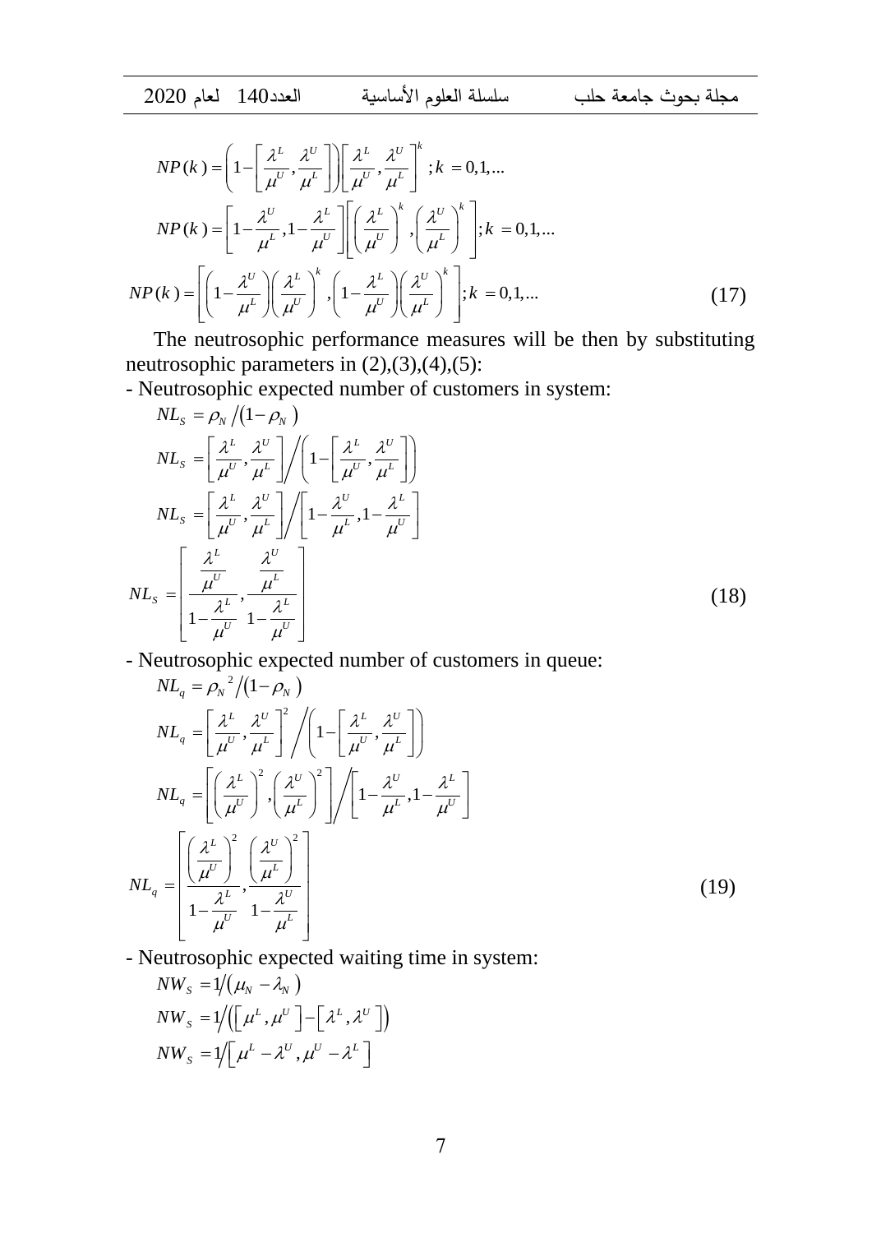$$
NP(k) = \left(1 - \left[\frac{\lambda^L}{\mu^U}, \frac{\lambda^U}{\mu^L}\right]\right) \left[\frac{\lambda^L}{\mu^U}, \frac{\lambda^U}{\mu^L}\right]^k; k = 0, 1, ...
$$
  
\n
$$
NP(k) = \left[1 - \frac{\lambda^U}{\mu^L}, 1 - \frac{\lambda^L}{\mu^U}\right] \left[\left(\frac{\lambda^L}{\mu^U}\right)^k, \left(\frac{\lambda^U}{\mu^L}\right)^k\right]; k = 0, 1, ...
$$
  
\n
$$
NP(k) = \left[\left(1 - \frac{\lambda^U}{\mu^L}\right)\left(\frac{\lambda^L}{\mu^U}\right)^k, \left(1 - \frac{\lambda^L}{\mu^U}\right)\left(\frac{\lambda^U}{\mu^L}\right)^k\right]; k = 0, 1, ...
$$
\n(17)

The neutrosophic performance measures will be then by substituting neutrosophic parameters in  $(2),(3),(4),(5)$ :

- Neutrosophic expected number of customers in system:

$$
NL_{s} = \rho_{N} / (1 - \rho_{N})
$$
\n
$$
NL_{s} = \left[ \frac{\lambda^{L}}{\mu^{U}}, \frac{\lambda^{U}}{\mu^{L}} \right] / \left( 1 - \left[ \frac{\lambda^{L}}{\mu^{U}}, \frac{\lambda^{U}}{\mu^{L}} \right] \right)
$$
\n
$$
NL_{s} = \left[ \frac{\lambda^{L}}{\mu^{U}}, \frac{\lambda^{U}}{\mu^{L}} \right] / \left[ 1 - \frac{\lambda^{U}}{\mu^{L}}, 1 - \frac{\lambda^{L}}{\mu^{U}} \right]
$$
\n
$$
NL_{s} = \left[ \frac{\frac{\lambda^{L}}{\mu^{U}}}{1 - \frac{\lambda^{U}}{\mu^{L}}}, \frac{\lambda^{U}}{\mu^{L}} \right]
$$
\n
$$
(18)
$$

- Neutrosophic expected number of customers in queue:

$$
NL_{q} = \rho_{N}^{2} / (1 - \rho_{N})
$$
\n
$$
NL_{q} = \left[ \frac{\lambda^{L}}{\mu^{U}}, \frac{\lambda^{U}}{\mu^{L}} \right]^{2} / \left( 1 - \left[ \frac{\lambda^{L}}{\mu^{U}}, \frac{\lambda^{U}}{\mu^{L}} \right] \right)
$$
\n
$$
NL_{q} = \left[ \left( \frac{\lambda^{L}}{\mu^{U}} \right)^{2}, \left( \frac{\lambda^{U}}{\mu^{L}} \right)^{2} \right] / \left[ 1 - \frac{\lambda^{U}}{\mu^{L}}, 1 - \frac{\lambda^{L}}{\mu^{U}} \right]
$$
\n
$$
NL_{q} = \left[ \frac{\left( \frac{\lambda^{L}}{\mu^{U}} \right)^{2}}{\left( 1 - \frac{\lambda^{L}}{\mu^{U}}, 1 - \frac{\lambda^{U}}{\mu^{L}} \right)} \right]
$$
\n
$$
(19)
$$

- Neutrosophic expected waiting time in system:

$$
NW_{s} = 1/(\mu_{N} - \lambda_{N})
$$
  
\n
$$
NW_{s} = 1/([\mu^{L}, \mu^{U}]-[\lambda^{L}, \lambda^{U}])
$$
  
\n
$$
NW_{s} = 1/[\mu^{L} - \lambda^{U}, \mu^{U} - \lambda^{L}]
$$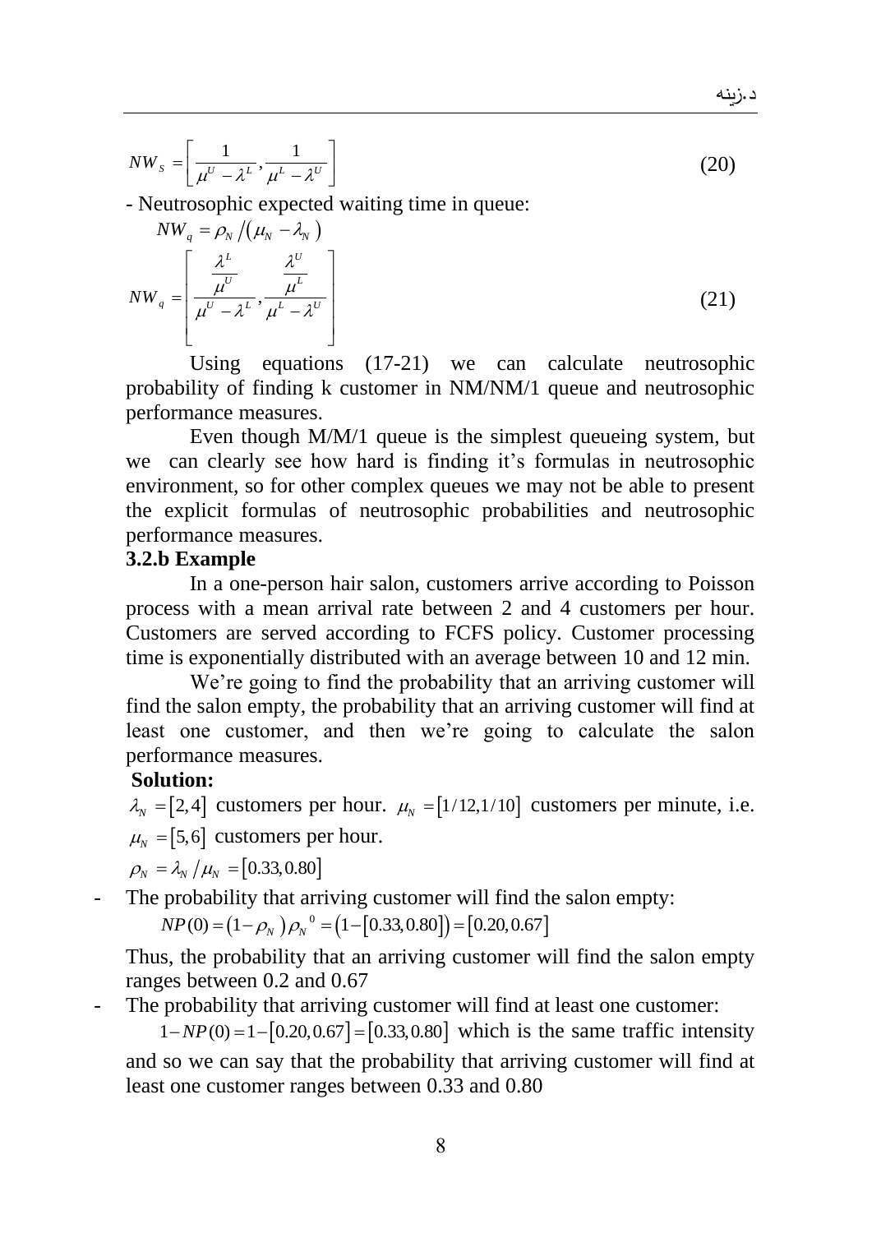د زينه

 $NW_{s} = \left[ \frac{1}{\mu^{U} - \lambda^{L}}, \frac{1}{\mu^{L} - \lambda^{U}} \right]$  $\begin{bmatrix} 1 & 1 \end{bmatrix}$  $=\left[\frac{1}{\mu^U-\lambda^L},\frac{1}{\mu^L-\lambda^U}\right]$ (20)

- Neutrosophic expected waiting time in queue:

$$
NW_q = \rho_N / (\mu_N - \lambda_N)
$$
  
\n
$$
NW_q = \left[ \frac{\lambda^L}{\mu^U - \lambda^L}, \frac{\lambda^U}{\mu^L - \lambda^U} \right]
$$
\n(21)

Using equations (17-21) we can calculate neutrosophic probability of finding k customer in NM/NM/1 queue and neutrosophic performance measures.

Even though M/M/1 queue is the simplest queueing system, but we can clearly see how hard is finding it's formulas in neutrosophic environment, so for other complex queues we may not be able to present the explicit formulas of neutrosophic probabilities and neutrosophic performance measures.

#### **3.2.b Example**

In a one-person hair salon, customers arrive according to Poisson process with a mean arrival rate between 2 and 4 customers per hour. Customers are served according to FCFS policy. Customer processing time is exponentially distributed with an average between 10 and 12 min.

We're going to find the probability that an arriving customer will find the salon empty, the probability that an arriving customer will find at least one customer, and then we're going to calculate the salon performance measures.

#### **Solution:**

 $\lambda_N = [2, 4]$  customers per hour.  $\mu_N = [1/12, 1/10]$  customers per minute, i.e.  $\mu_{N} = [5, 6]$  customers per hour.

 $\rho_{_N} = \lambda_{_N} / \mu_{_N} = [0.33, 0.80]$ 

The probability that arriving customer will find the salon empty:

 $(1 - \rho_{N}) \rho_{N}^{0} = (1 - [0.33, 0.80]) = [0.20, 0.67]$ probability that arriving customer will find t<br>  $NP(0) = (1 - \rho_N) \rho_N^0 = (1 - [0.33, 0.80]) = [0.20, 0.67]$ 

Thus, the probability that an arriving customer will find the salon empty ranges between 0.2 and 0.67

The probability that arriving customer will find at least one customer:

probability that arriving customer will find at least one customer:<br> $1 - NP(0) = 1 - [0.20, 0.67] = [0.33, 0.80]$  which is the same traffic intensity and so we can say that the probability that arriving customer will find at least one customer ranges between 0.33 and 0.80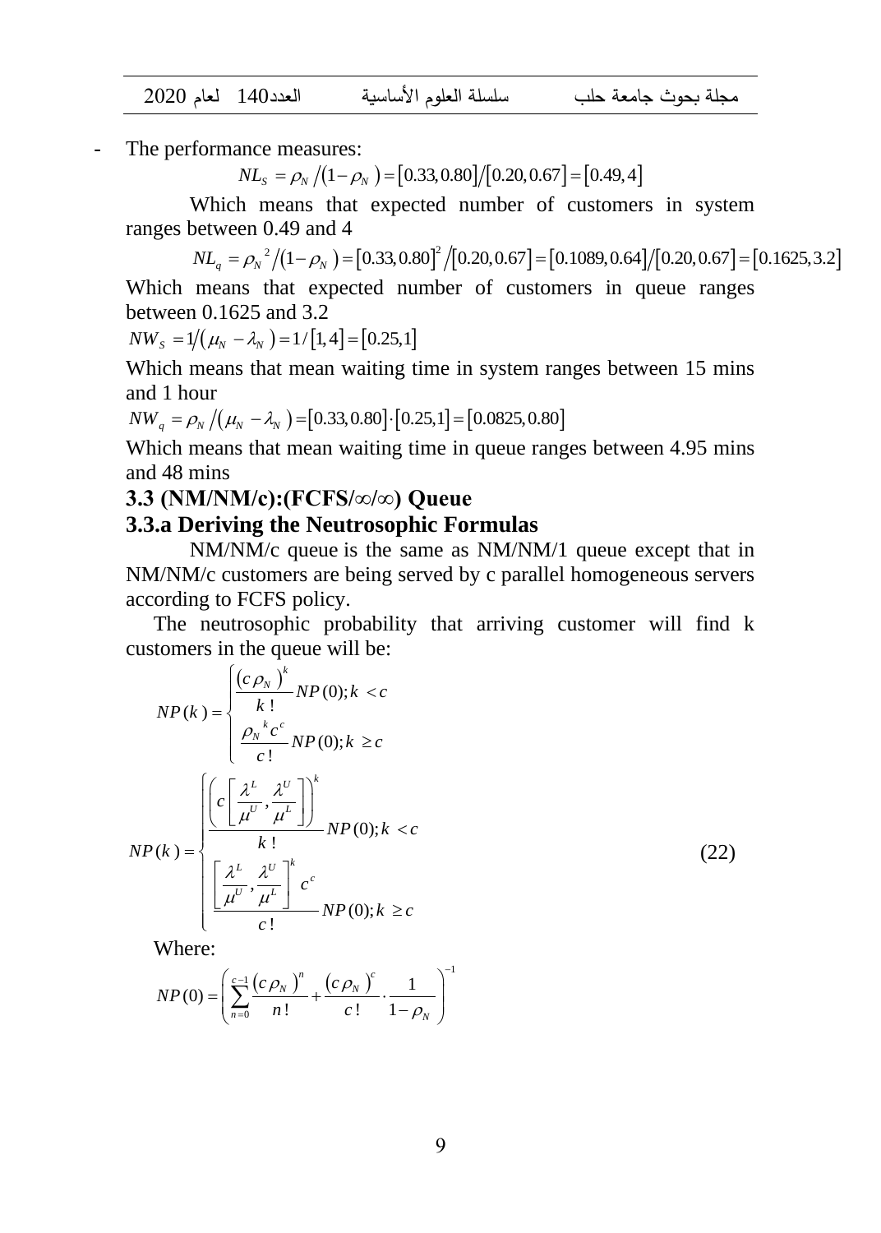مجلة بحوث جامعة حلب سلسلة العلوم األساسية العدد140 لعام 2020

The performance measures:

ance measures:<br>*NL*<sub>*S*</sub> =  $\rho$ <sub>*N*</sub></sub> /(1− $\rho$ <sub>*N*</sub></sub> ) = [0.33,0.80]/[0.20,0.67] = [0.49,4]

Which means that expected number of customers in system ranges between 0.49 and 4 Which means that expected number of customers in system<br>
2.49 and 4<br>  $NL_q = \rho_N^2/(1-\rho_N) = [0.33,0.80]^2/[0.20,0.67] = [0.1089,0.64]/[0.20,0.67] = [0.1625,3.2]$ 

 $\binom{2}{1-\rho_N}$  =  $\left[0.33, 0.80\right]^2$   $\left[\left(0.20, 0.67\right)$  =  $\left[0.1089, 0.64\right]$   $\left[\left(0.20, 0.67\right)$  =  $\left[0.1625, 3.2\right]$ 

Which means that expected number of customers in queue ranges between 0.1625 and 3.2

*NW<sub>s</sub>* =  $1/(\mu_N - \lambda_N) = 1/[1, 4] = [0.25, 1]$ 

Which means that mean waiting time in system ranges between 15 mins and 1 hour *N* Means that the dividend in the H system rand 1 hour<br>  $NW_q = \rho_N / (\mu_N - \lambda_N) = [0.33, 0.80] \cdot [0.25, 1] = [0.0825, 0.80]$ 

Which means that mean waiting time in queue ranges between 4.95 mins and 48 mins

#### **3.3 (NM/NM/c):(FCFS/∞/∞) Queue**

#### **3.3.a Deriving the Neutrosophic Formulas**

NM/NM/c queue is the same as NM/NM/1 queue except that in NM/NM/c customers are being served by c parallel homogeneous servers according to FCFS policy.

The neutrosophic probability that arriving customer will find k customers in the queue will be:

$$
NP(k) = \begin{cases} \frac{\left(c \rho_N\right)^k}{k!} NP(0); k < c\\ \frac{\rho_N^k c^c}{c!} NP(0); k \geq c \end{cases}
$$
\n
$$
NP(k) = \begin{cases} \frac{\left(c \left[\frac{\lambda^L}{\mu^U}, \frac{\lambda^U}{\mu^L}\right]\right)^k}{k!} NP(0); k < c\\ \frac{\left[\frac{\lambda^L}{\mu^U}, \frac{\lambda^U}{\mu^L}\right]^k c^c}{c!} NP(0); k \geq c \end{cases}
$$
\n(22)

Where:

$$
NP(0) = \left(\sum_{n=0}^{c-1} \frac{(c \rho_N)^n}{n!} + \frac{(c \rho_N)^c}{c!} \cdot \frac{1}{1 - \rho_N}\right)^{-1}
$$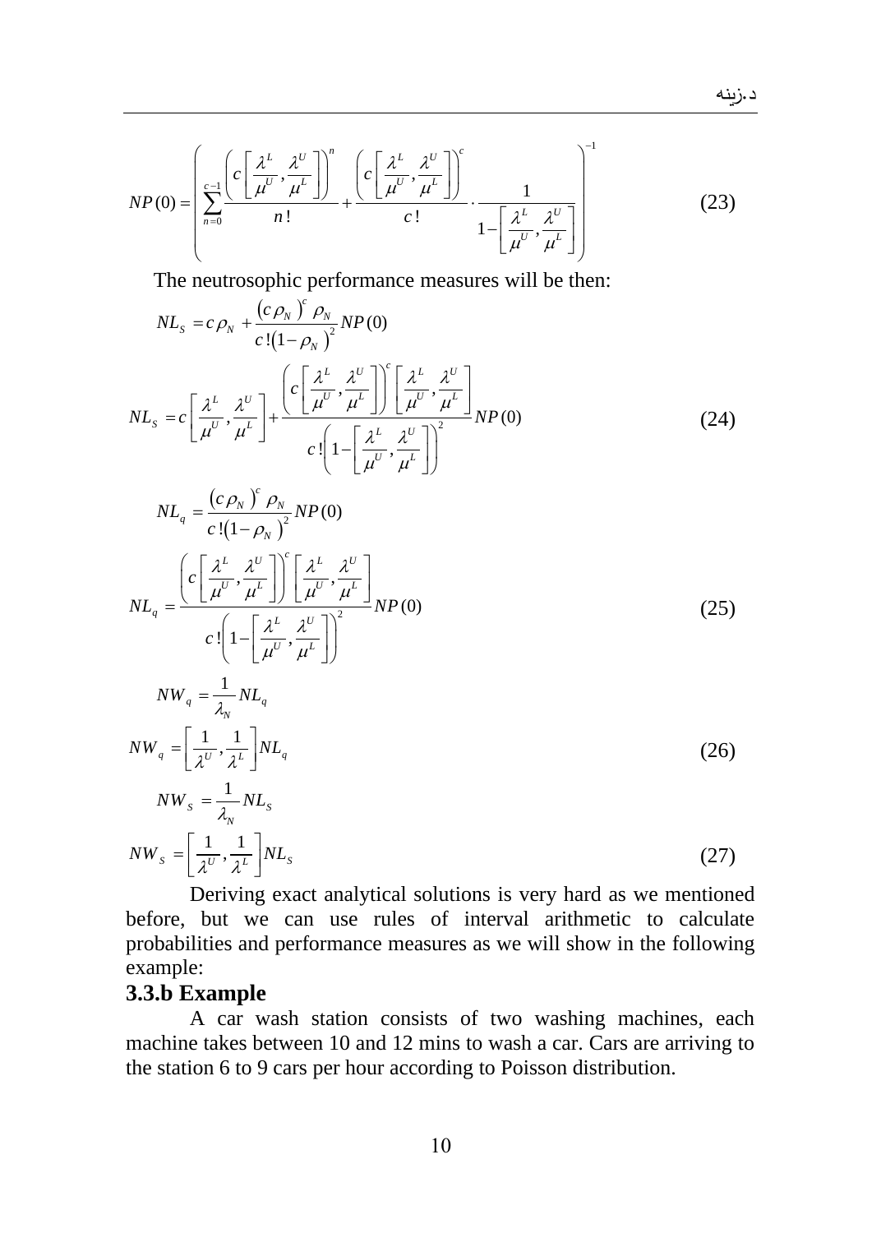$$
NP(0) = \left(\sum_{n=0}^{c-1} \frac{\left(c\left[\frac{\lambda^L}{\mu^U}, \frac{\lambda^U}{\mu^L}\right]\right)^n}{n!} + \frac{\left(c\left[\frac{\lambda^L}{\mu^U}, \frac{\lambda^U}{\mu^L}\right]\right)^c}{c!} \cdot \frac{1}{1 - \left[\frac{\lambda^L}{\mu^U}, \frac{\lambda^U}{\mu^L}\right]}\right)^{-1}
$$
(23)

The neutrosophic performance measures will be then:

*c*

$$
NL_{s} = c \rho_{N} + \frac{(c \rho_{N})^{c} \rho_{N}}{c!(1-\rho_{N})^{2}} NP(0)
$$
  

$$
NL_{s} = c \left[ \frac{\lambda^{L}}{\mu^{U}}, \frac{\lambda^{U}}{\mu^{L}} \right] + \frac{\left( c \left[ \frac{\lambda^{L}}{\mu^{U}}, \frac{\lambda^{U}}{\mu^{L}} \right] \right)^{c} \left[ \frac{\lambda^{L}}{\mu^{U}}, \frac{\lambda^{U}}{\mu^{L}} \right]}{c \left[ 1 - \left[ \frac{\lambda^{L}}{\mu^{U}}, \frac{\lambda^{U}}{\mu^{L}} \right] \right)^{2}} NP(0)
$$
(24)

$$
NL_{q} = \frac{(c \rho_{N})^{c} \rho_{N}}{c!(1-\rho_{N})^{2}} NP(0)
$$
  
\n
$$
NL_{q} = \frac{\left(c\left[\frac{\lambda^{L}}{\mu^{U}}, \frac{\lambda^{U}}{\mu^{L}}\right]\right)^{c}\left[\frac{\lambda^{L}}{\mu^{U}}, \frac{\lambda^{U}}{\mu^{L}}\right]}{c!\left(1-\left[\frac{\lambda^{L}}{\mu^{U}}, \frac{\lambda^{U}}{\mu^{L}}\right]\right)^{2}} NP(0)
$$
  
\n
$$
NW_{q} = \frac{1}{\lambda_{N}} NL_{q}
$$
  
\n
$$
NW_{q} = \left[\frac{1}{\lambda^{U}}, \frac{1}{\lambda^{L}}\right] NL_{q}
$$
  
\n
$$
NW_{s} = \frac{1}{\lambda_{N}} NL_{s}
$$
  
\n
$$
NW_{s} = \frac{1}{\lambda_{N}} NL_{s}
$$
  
\n(26)

$$
NW_s = \left[\frac{1}{\lambda^U}, \frac{1}{\lambda^L}\right] NL_s \tag{27}
$$

Deriving exact analytical solutions is very hard as we mentioned before, but we can use rules of interval arithmetic to calculate probabilities and performance measures as we will show in the following example:

## **3.3.b Example**

A car wash station consists of two washing machines, each machine takes between 10 and 12 mins to wash a car. Cars are arriving to the station 6 to 9 cars per hour according to Poisson distribution.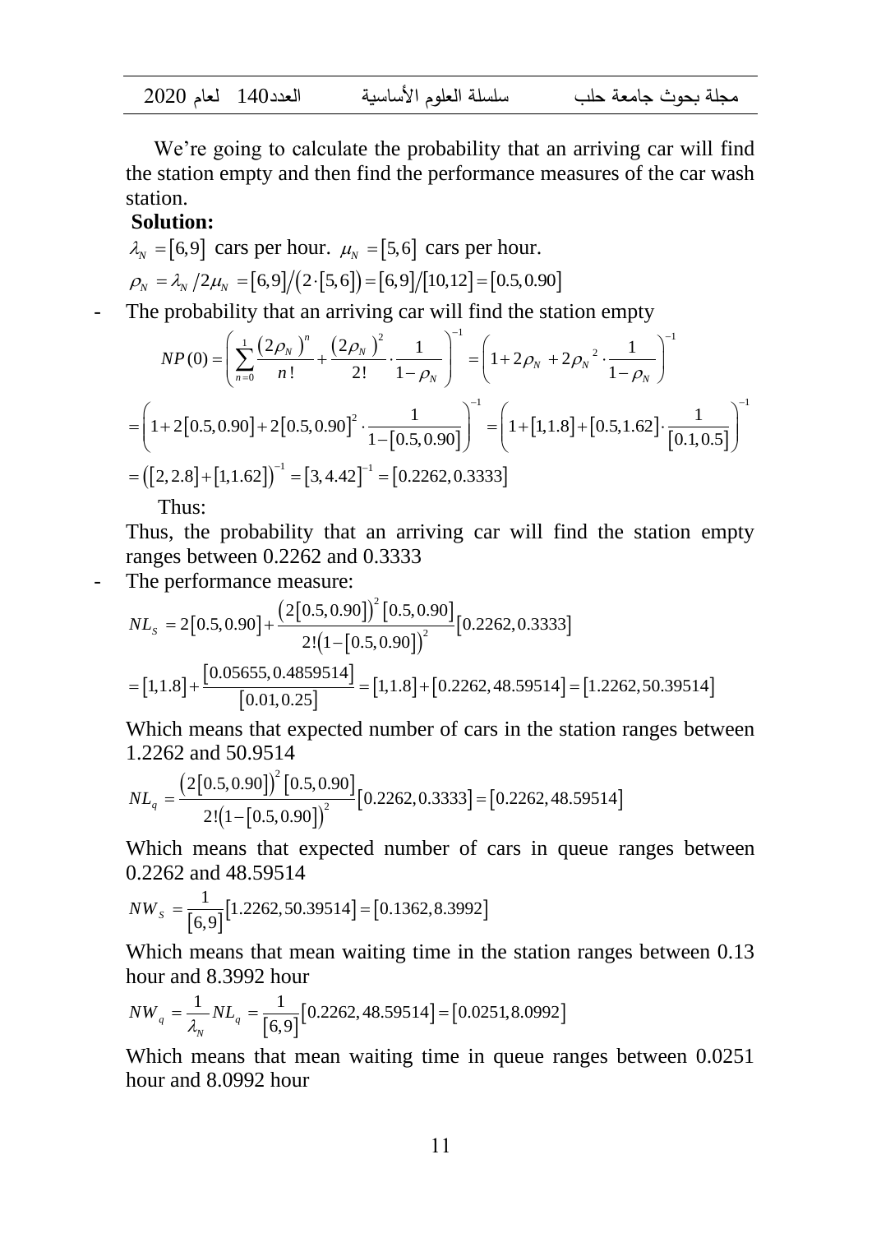| $2020$ العدد 140 لعام |  | سلسلة العلوم الأساسية | محلة يحوث حامعة حلب |
|-----------------------|--|-----------------------|---------------------|
|-----------------------|--|-----------------------|---------------------|

We're going to calculate the probability that an arriving car will find the station empty and then find the performance measures of the car wash station.

#### **Solution:**

$$
\lambda_N = [6, 9]
$$
 cars per hour.  $\mu_N = [5, 6]$  cars per hour.  
\n $\rho_N = \lambda_N / 2\mu_N = [6, 9] / (2 \cdot [5, 6]) = [6, 9] / [10, 12] = [0.5, 0.90]$ 

 $\sim$   $-1$ 

The probability that an arriving car will find the station empty  
\n
$$
NP(0) = \left(\sum_{n=0}^{1} \frac{(2\rho_N)^n}{n!} + \frac{(2\rho_N)^2}{2!} \cdot \frac{1}{1-\rho_N}\right)^{-1} = \left(1 + 2\rho_N + 2\rho_N^2 \cdot \frac{1}{1-\rho_N}\right)^{-1}
$$
\n
$$
= \left(1 + 2[0.5, 0.90] + 2[0.5, 0.90]^2 \cdot \frac{1}{1-[0.5, 0.90]}\right)^{-1} = \left(1 + [1, 1.8] + [0.5, 1.62] \cdot \frac{1}{[0.1, 0.5]}\right)^{-1}
$$
\n
$$
= \left([2, 2.8] + [1, 1.62]\right)^{-1} = [3, 4.42]^{-1} = [0.2262, 0.3333]
$$

Thus:

Thus, the probability that an arriving car will find the station empty

ranges between 0.2262 and 0.3333  
\nThe performance measure:  
\n
$$
NL_s = 2[0.5, 0.90] + \frac{(2[0.5, 0.90])^2 [0.5, 0.90]}{2!(1 - [0.5, 0.90])^2} [0.2262, 0.3333]
$$
\n
$$
= [1, 1.8] + \frac{[0.05655, 0.4859514]}{[0.01, 0.25]} = [1, 1.8] + [0.2262, 48.59514] = [1.2262, 50.39514]
$$

Which means that expected number of cars in the station ranges between 1.2262 and 50.9514<br>  $NL = \frac{(2[0.5, 0.90])^2 [0.5, 0.90]}{N}$ 

1.2262 and 50.9514  
\n
$$
NL_q = \frac{(2[0.5, 0.90])^2 [0.5, 0.90]}{2! (1 - [0.5, 0.90])^2} [0.2262, 0.3333] = [0.2262, 48.59514]
$$

Which means that expected number of cars in queue ranges between 0.2262 and 48.59514

$$
NW_s = \frac{1}{[6,9]} [1.2262, 50.39514] = [0.1362, 8.3992]
$$

Which means that mean waiting time in the station ranges between 0.13

hour and 8.3992 hour  
\n
$$
NW_q = \frac{1}{\lambda_N} NL_q = \frac{1}{[6,9]} [0.2262, 48.59514] = [0.0251, 8.0992]
$$

Which means that mean waiting time in queue ranges between 0.0251 hour and 8.0992 hour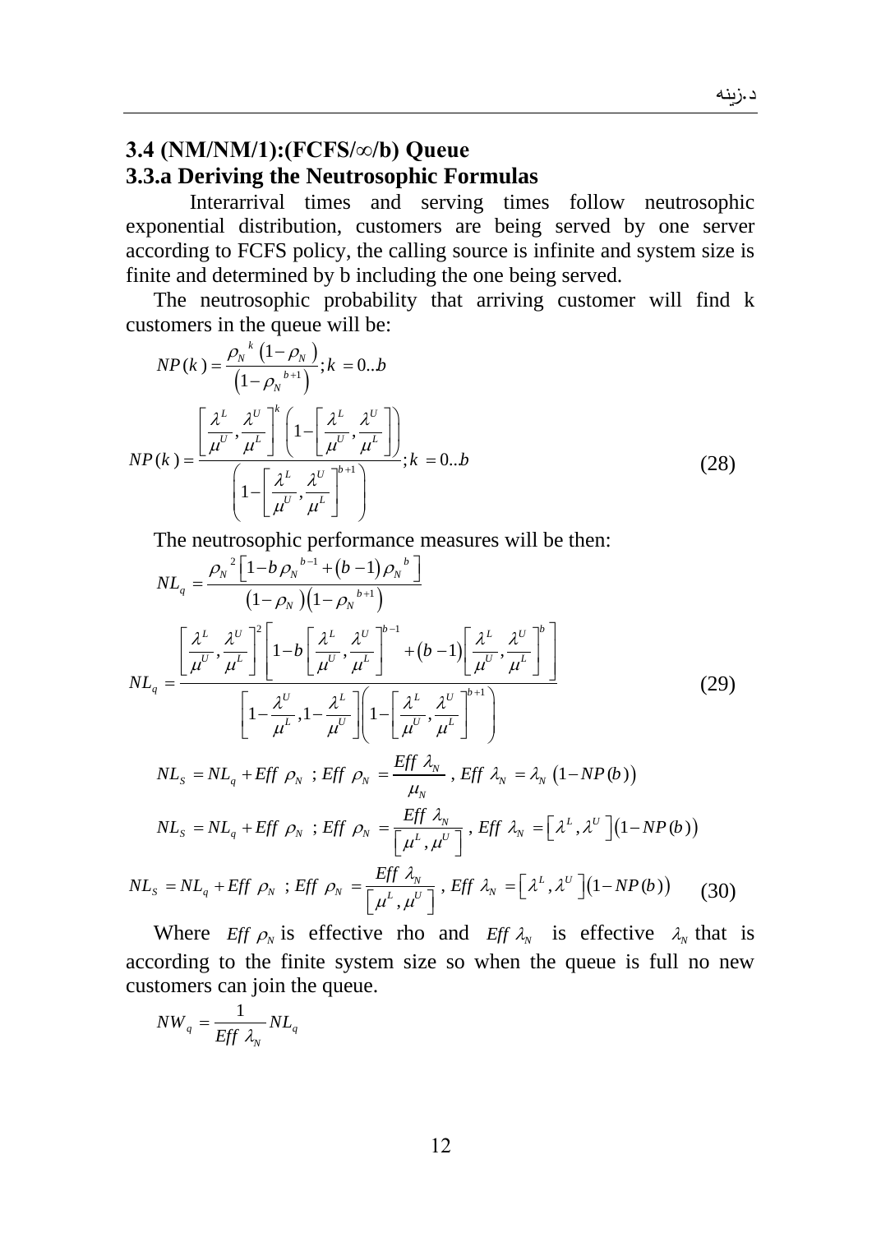# **3.4 (NM/NM/1):(FCFS/∞/b) Queue 3.3.a Deriving the Neutrosophic Formulas**

Interarrival times and serving times follow neutrosophic exponential distribution, customers are being served by one server according to FCFS policy, the calling source is infinite and system size is finite and determined by b including the one being served.

The neutrosophic probability that arriving customer will find k customers in the queue will be:

$$
NP(k) = \frac{\rho_N^{k} (1 - \rho_N)}{(1 - \rho_N^{k+1})}; k = 0..b
$$
  

$$
NP(k) = \frac{\left[\frac{\lambda^L}{\mu^U}, \frac{\lambda^U}{\mu^L}\right]^k \left(1 - \left[\frac{\lambda^L}{\mu^U}, \frac{\lambda^U}{\mu^L}\right]\right)}{\left(1 - \left[\frac{\lambda^L}{\mu^U}, \frac{\lambda^U}{\mu^L}\right]^{k+1}\right)}; k = 0..b
$$
 (28)

The neutrosophic performance measures will be then:  
\n
$$
NL_{q} = \frac{\rho_{N}^{2} \left[1-b\rho_{N}^{b-1} + (b-1)\rho_{N}^{b}\right]}{(1-\rho_{N})(1-\rho_{N}^{b+1})}
$$
\n
$$
NL_{q} = \frac{\left[\frac{\lambda^{L}}{\mu^{U}}, \frac{\lambda^{U}}{\mu^{L}}\right]^{2} \left[1-b\left[\frac{\lambda^{L}}{\mu^{U}}, \frac{\lambda^{U}}{\mu^{L}}\right]^{b-1} + (b-1)\left[\frac{\lambda^{L}}{\mu^{U}}, \frac{\lambda^{U}}{\mu^{L}}\right]^{b}\right]}{\left[1-\frac{\lambda^{U}}{\mu^{L}}, 1-\frac{\lambda^{L}}{\mu^{U}}\right] \left(1-\left[\frac{\lambda^{L}}{\mu^{U}}, \frac{\lambda^{U}}{\mu^{L}}\right]^{b+1}\right]}
$$
\n
$$
NL_{s} = NL_{q} + Eff \rho_{N} ; Eff \rho_{N} = \frac{Eff \lambda_{N}}{\mu_{N}}, Eff \lambda_{N} = \lambda_{N} (1-NP(b))
$$
\n
$$
NL_{s} = NL_{q} + Eff \rho_{N} ; Eff \rho_{N} = \frac{Eff \lambda_{N}}{\left[\mu^{L}, \mu^{U}\right]}, Eff \lambda_{N} = \left[\lambda^{L}, \lambda^{U}\right] (1-NP(b))
$$
\n
$$
NL_{s} = NL_{q} + Eff \rho_{N} ; Eff \rho_{N} = \frac{Eff \lambda_{N}}{\left[\mu^{L}, \mu^{U}\right]}, Eff \lambda_{N} = \left[\lambda^{L}, \lambda^{U}\right] (1-NP(b))
$$
\n
$$
NL_{s} = NL_{q} + Eff \rho_{N} ; Eff \rho_{N} = \frac{Eff \lambda_{N}}{\left[\mu^{L}, \mu^{U}\right]}, Eff \lambda_{N} = \left[\lambda^{L}, \lambda^{U}\right] (1-NP(b)) \qquad (30)
$$

$$
N L_{s} = N L_{q} + E f f \rho_{N} ; \text{Eff } \rho_{N} = \frac{E f f \lambda_{N}}{\left[\mu^{L}, \mu^{U}\right]}, \text{Eff } \lambda_{N} = \left[\lambda^{L}, \lambda^{U}\right] \left(1 - N P(b)\right)
$$
\n
$$
N L_{s} = N L_{q} + E f f \rho_{N} ; \text{Eff } \rho_{N} = \frac{E f f \lambda_{N}}{\left[\mu^{L}, \mu^{U}\right]}, \text{Eff } \lambda_{N} = \left[\lambda^{L}, \lambda^{U}\right] \left(1 - N P(b)\right) \tag{30}
$$

Where *Eff*  $\rho_N$  is effective rho and *Eff*  $\lambda_N$  is effective  $\lambda_N$  that is according to the finite system size so when the queue is full no new customers can join the queue.

$$
NW_q = \frac{1}{Eff \lambda_N} NL_q
$$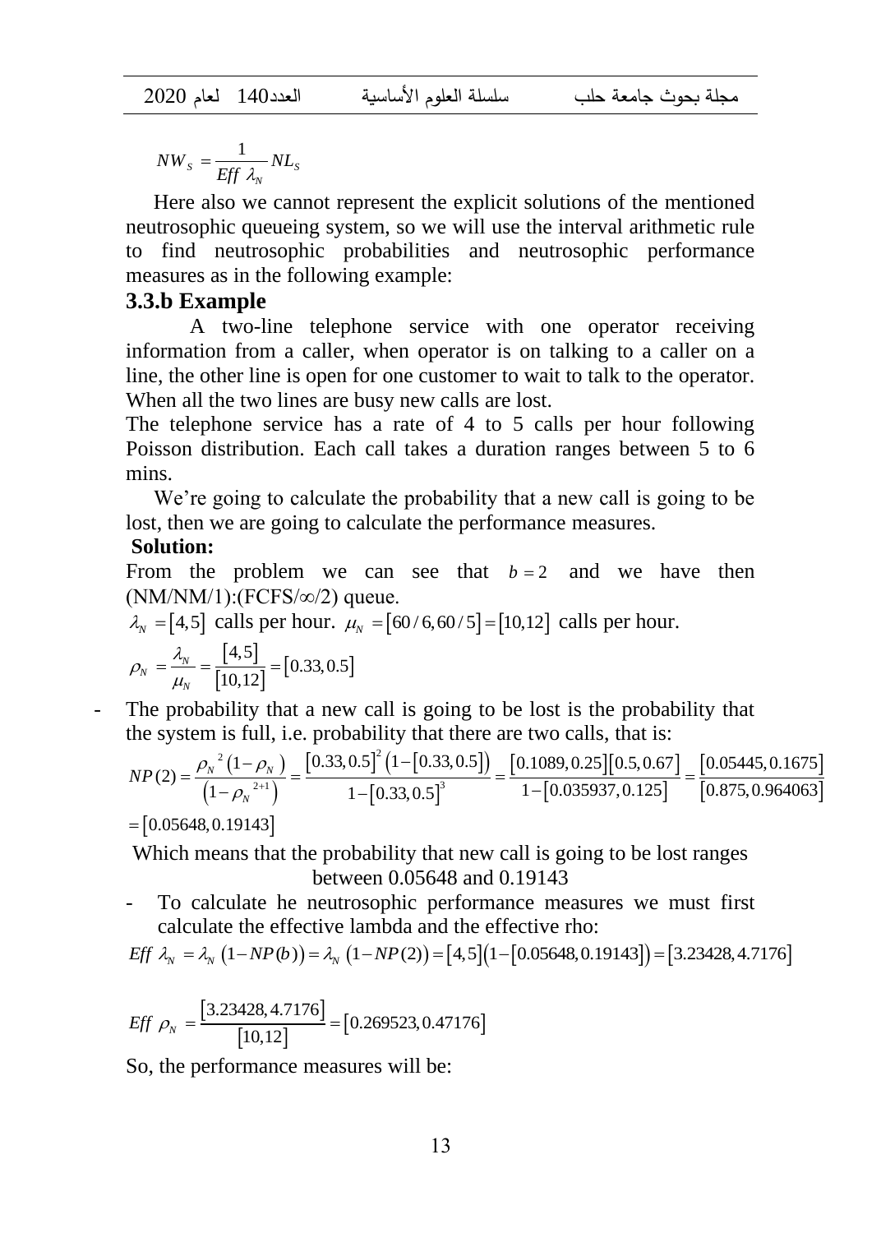$S = \frac{F}{E} \int \lambda_N N L_S$  $NW_s = \frac{1}{Eff \lambda_N} NL$ =

Here also we cannot represent the explicit solutions of the mentioned neutrosophic queueing system, so we will use the interval arithmetic rule to find neutrosophic probabilities and neutrosophic performance measures as in the following example:

#### **3.3.b Example**

 $\frac{1}{\sqrt{2\lambda_N}}$   $ML_s$ <br>
we cannot represent the<br>
queueing system, so we<br>
utrosophic probabilities<br>
ple<br>
vo-line telephone servi<br>
from a caller, when operation<br>
if the is open for one cust<br>
two lines are busy new c<br>
ne servi A two-line telephone service with one operator receiving information from a caller, when operator is on talking to a caller on a line, the other line is open for one customer to wait to talk to the operator. When all the two lines are busy new calls are lost.

The telephone service has a rate of 4 to 5 calls per hour following Poisson distribution. Each call takes a duration ranges between 5 to 6 mins.

We're going to calculate the probability that a new call is going to be lost, then we are going to calculate the performance measures.

#### **Solution:**

From the problem we can see that  $b = 2$  and we have then  $(NM/NM/1):(FCFS/\infty/2)$  queue.

$$
\lambda_{N} = [4,5] \text{ calls per hour. } \mu_{N} = [60/6, 60/5] = [10,12] \text{ calls per hour.}
$$
\n
$$
\rho_{N} = \frac{\lambda_{N}}{\mu_{N}} = \frac{[4,5]}{[10,12]} = [0.33, 0.5]
$$

The probability that a new call is going to be lost is the probability that  
the system is full, i.e. probability that there are two calls, that is:  

$$
NP(2) = \frac{\rho_N^2 (1 - \rho_N)}{(1 - \rho_N^{2+1})} = \frac{[0.33, 0.5]^2 (1 - [0.33, 0.5])}{1 - [0.33, 0.5]^3} = \frac{[0.1089, 0.25][0.5, 0.67]}{1 - [0.035937, 0.125]} = \frac{[0.05445, 0.1675]}{[0.875, 0.964063]}
$$
  
= [0.05648, 0.19143]

Which means that the probability that new call is going to be lost ranges between 0.05648 and 0.19143

 $E(f \lambda_N = \lambda_N (1 - NP(b)) = \lambda_N (1 - NP(2)) = [4, 5] (1 - [0.05648, 0.19143]) = [3.23428, 4.7176]$ <br>*Eff*  $\lambda_N = \lambda_N (1 - NP(b)) = \lambda_N (1 - NP(2)) = [4, 5] (1 - [0.05648, 0.19143]) = [3.23428, 4.7176]$ calculate the effective lambda and the effective rho:

$$
Eff \lambda_{N} = \lambda_{N} (1 - NP(b)) = \lambda_{N} (1 - NP(2)) = [4, 5] (1 - [0.05648, 0.19143]) = [3.23428, 4.7176]
$$

$$
Eff \rho_N = \frac{[3.23428, 4.7176]}{[10, 12]} = [0.269523, 0.47176]
$$

So, the performance measures will be: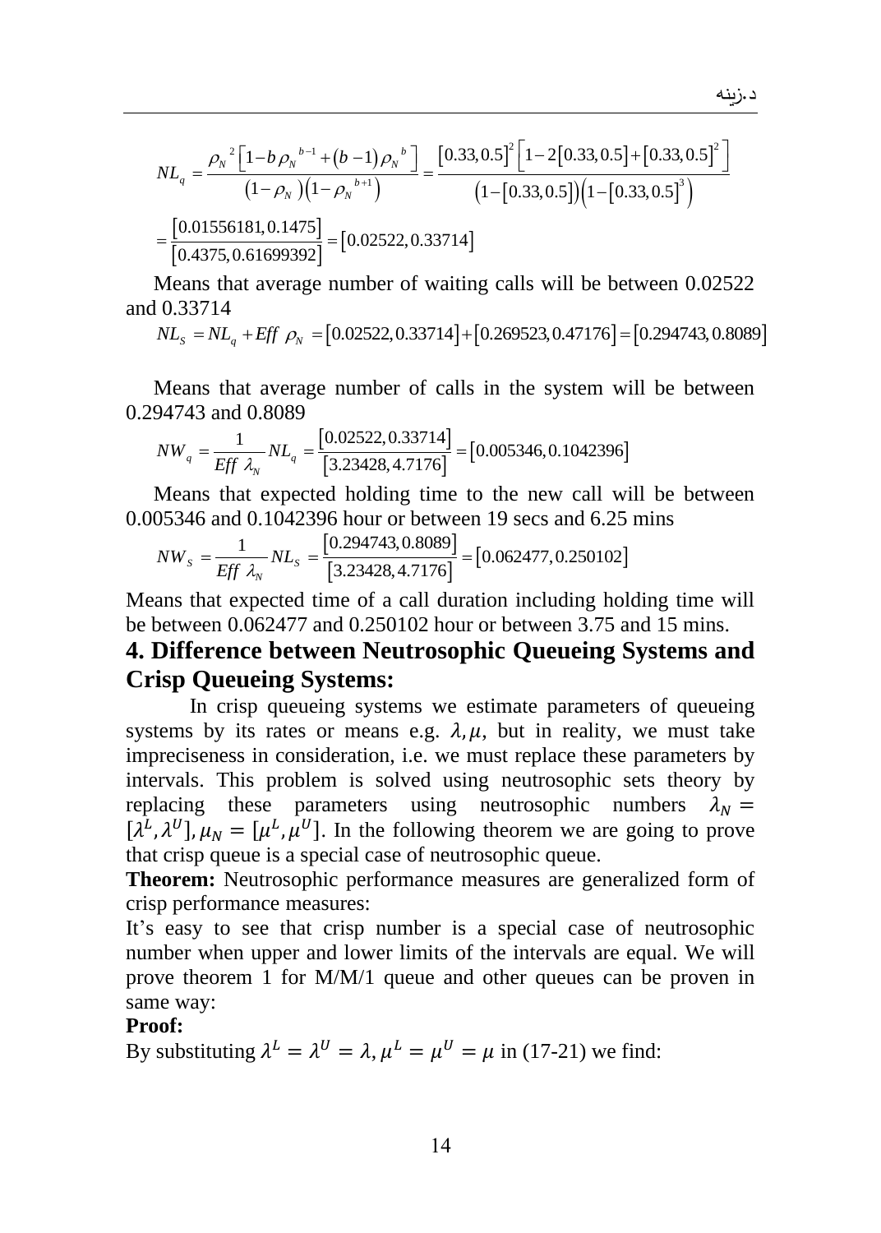$$
NL_{q} = \frac{\rho_{N}^{2}\left[1-b\rho_{N}^{b-1}+(b-1)\rho_{N}^{b}\right]}{(1-\rho_{N})(1-\rho_{N}^{b+1})} = \frac{\left[0.33,0.5\right]^{2}\left[1-2\left[0.33,0.5\right]+\left[0.33,0.5\right]^{2}\right]}{(1-\left[0.33,0.5\right)]\left(1-\left[0.33,0.5\right]^{3}\right)}
$$

$$
= \frac{\left[0.01556181,0.1475\right]}{\left[0.4375,0.61699392\right]} = \left[0.02522,0.33714\right]
$$

Means that average number of waiting calls will be between 0.02522<br>  $10.33714$ <br>  $NL_s = NL_q + Eff \rho_N = [0.02522, 0.33714] + [0.269523, 0.47176] = [0.294743, 0.8089]$ and 0.33714

$$
NL_s = NL_q + Eff \rho_N = [0.02522, 0.33714] + [0.269523, 0.47176] = [0.294743, 0.8089]
$$

Means that average number of calls in the system will be between

0.294743 and 0.8089  
\n
$$
NW_q = \frac{1}{Eff \lambda_N} NL_q = \frac{[0.02522, 0.33714]}{[3.23428, 4.7176]} = [0.005346, 0.1042396]
$$

Means that expected holding time to the new call will be between

0.005346 and 0.1042396 hour or between 19 secs and 6.25 mins  
\n
$$
NW_s = \frac{1}{Eff \lambda_v} NL_s = \frac{[0.294743, 0.8089]}{[3.23428, 4.7176]} = [0.062477, 0.250102]
$$

Means that expected time of a call duration including holding time will be between 0.062477 and 0.250102 hour or between 3.75 and 15 mins.

# **4. Difference between Neutrosophic Queueing Systems and Crisp Queueing Systems:**

In crisp queueing systems we estimate parameters of queueing systems by its rates or means e.g.  $\lambda, \mu$ , but in reality, we must take impreciseness in consideration, i.e. we must replace these parameters by intervals. This problem is solved using neutrosophic sets theory by replacing these parameters using neutrosophic numbers  $\lambda_N =$  $[\lambda^L, \lambda^U], \mu_N = [\mu^L, \mu^U]$ . In the following theorem we are going to prove that crisp queue is a special case of neutrosophic queue.

**Theorem:** Neutrosophic performance measures are generalized form of crisp performance measures:

It's easy to see that crisp number is a special case of neutrosophic number when upper and lower limits of the intervals are equal. We will prove theorem 1 for M/M/1 queue and other queues can be proven in same way:

#### **Proof:**

By substituting  $\lambda^L = \lambda^U = \lambda$ ,  $\mu^L = \mu^U = \mu$  in (17-21) we find: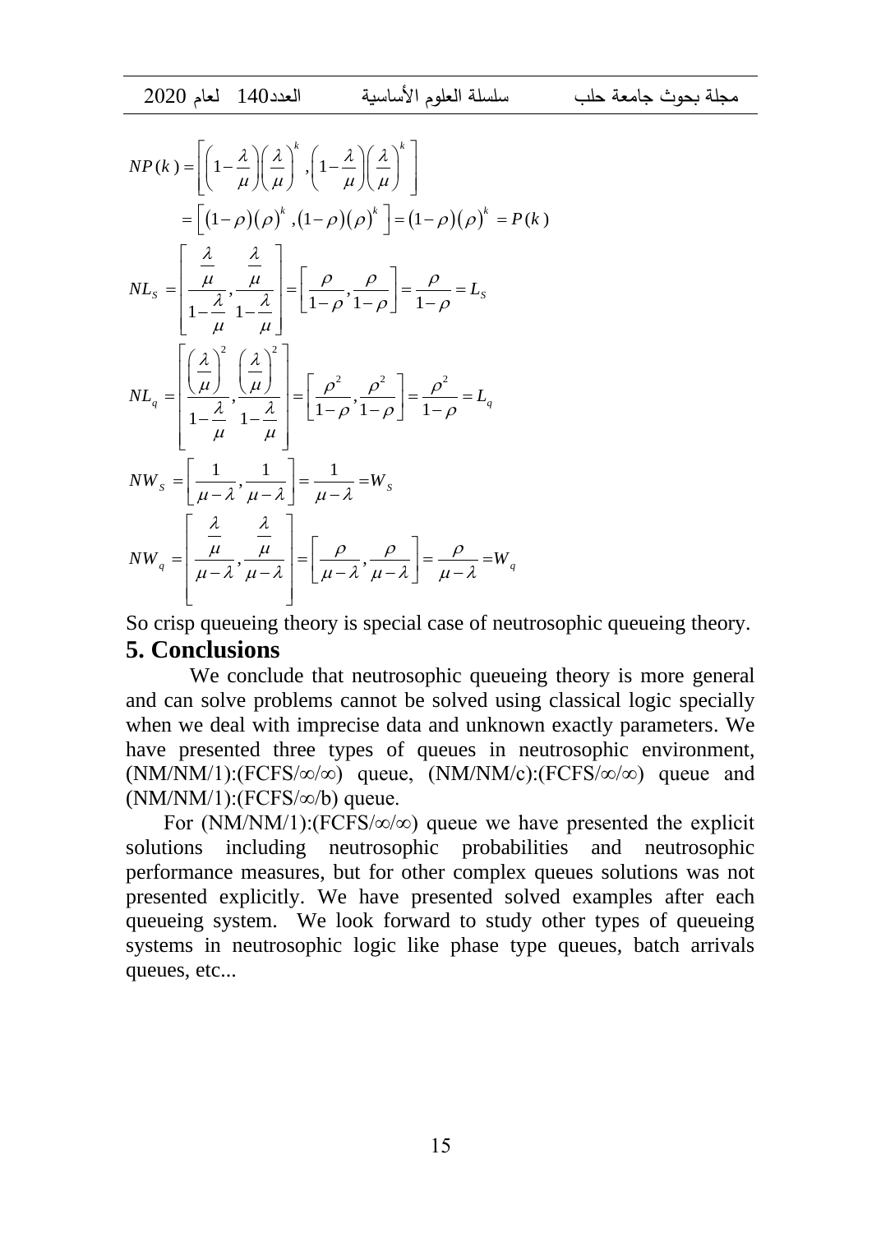$$
NP(k) = \left[ \left( 1 - \frac{\lambda}{\mu} \right) \left( \frac{\lambda}{\mu} \right)^{k}, \left( 1 - \frac{\lambda}{\mu} \right) \left( \frac{\lambda}{\mu} \right)^{k} \right]
$$
  
\n
$$
= \left[ (1 - \rho)(\rho)^{k}, (1 - \rho)(\rho)^{k} \right] = (1 - \rho)(\rho)^{k} = P(k)
$$
  
\n
$$
NL_{s} = \left[ \frac{\frac{\lambda}{\mu}}{1 - \frac{\lambda}{\mu}}, \frac{\frac{\lambda}{\mu}}{1 - \frac{\lambda}{\mu}} \right] = \left[ \frac{\rho}{1 - \rho}, \frac{\rho}{1 - \rho} \right] = \frac{\rho}{1 - \rho} = L_{s}
$$
  
\n
$$
NL_{q} = \left[ \frac{\left( \frac{\lambda}{\mu} \right)^{2}}{1 - \frac{\lambda}{\mu}}, \frac{\left( \frac{\lambda}{\mu} \right)^{2}}{1 - \frac{\lambda}{\mu}} \right] = \left[ \frac{\rho^{2}}{1 - \rho}, \frac{\rho^{2}}{1 - \rho} \right] = \frac{\rho^{2}}{1 - \rho} = L_{q}
$$
  
\n
$$
NW_{s} = \left[ \frac{1}{\mu - \lambda}, \frac{1}{\mu - \lambda} \right] = \frac{1}{\mu - \lambda} = W_{s}
$$
  
\n
$$
NW_{q} = \left[ \frac{\frac{\lambda}{\mu}}{\frac{\mu}{\mu - \lambda}}, \frac{\frac{\lambda}{\mu}}{\mu - \lambda} \right] = \left[ \frac{\rho}{\mu - \lambda}, \frac{\rho}{\mu - \lambda} \right] = \frac{\rho}{\mu - \lambda} = W_{q}
$$

So crisp queueing theory is special case of neutrosophic queueing theory. **5. Conclusions** 

We conclude that neutrosophic queueing theory is more general and can solve problems cannot be solved using classical logic specially when we deal with imprecise data and unknown exactly parameters. We have presented three types of queues in neutrosophic environment,  $(NM/NM/1):(FCFS/\infty/\infty)$  queue,  $(NM/NM/c):(FCFS/\infty/\infty)$  queue and (NM/NM/1):(FCFS/∞/b) queue.

For  $(NM/NM/1)$ :(FCFS/ $\infty/\infty$ ) queue we have presented the explicit solutions including neutrosophic probabilities and neutrosophic performance measures, but for other complex queues solutions was not presented explicitly. We have presented solved examples after each queueing system. We look forward to study other types of queueing systems in neutrosophic logic like phase type queues, batch arrivals queues, etc...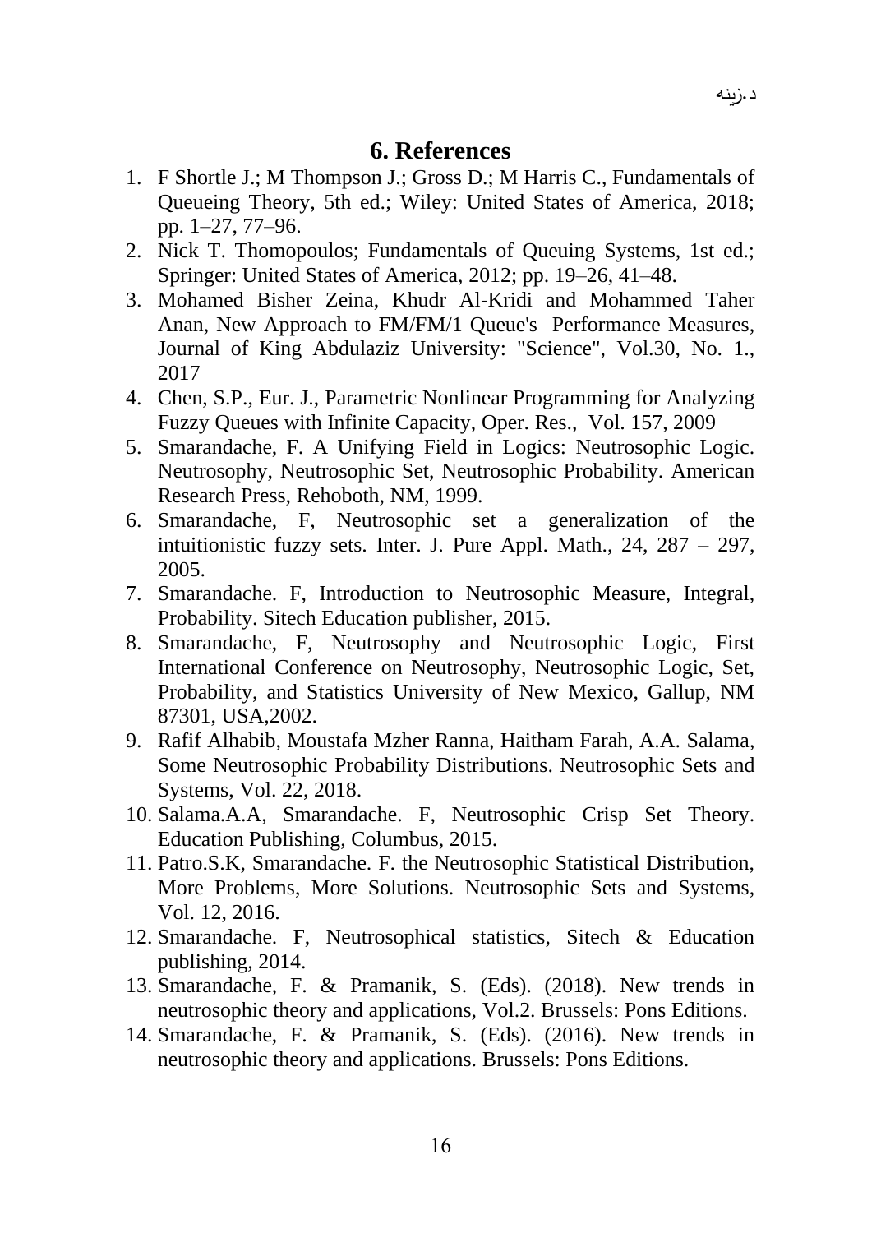# **6. References**

- 1. F Shortle J.; M Thompson J.; Gross D.; M Harris C., Fundamentals of Queueing Theory, 5th ed.; Wiley: United States of America, 2018; pp. 1–27, 77–96.
- 2. Nick T. Thomopoulos; Fundamentals of Queuing Systems, 1st ed.; Springer: United States of America, 2012; pp. 19–26, 41–48.
- 3. Mohamed Bisher Zeina, Khudr Al-Kridi and Mohammed Taher Anan, New Approach to FM/FM/1 Queue's Performance Measures, Journal of King Abdulaziz University: "Science", Vol.30, No. 1., 2017
- 4. Chen, S.P., Eur. J., Parametric Nonlinear Programming for Analyzing Fuzzy Queues with Infinite Capacity, Oper. Res., Vol. 157, 2009
- 5. Smarandache, F. A Unifying Field in Logics: Neutrosophic Logic. Neutrosophy, Neutrosophic Set, Neutrosophic Probability. American Research Press, Rehoboth, NM, 1999.
- 6. Smarandache, F, Neutrosophic set a generalization of the intuitionistic fuzzy sets. Inter. J. Pure Appl. Math., 24, 287 – 297, 2005.
- 7. Smarandache. F, Introduction to Neutrosophic Measure, Integral, Probability. Sitech Education publisher, 2015.
- 8. Smarandache, F, Neutrosophy and Neutrosophic Logic, First International Conference on Neutrosophy, Neutrosophic Logic, Set, Probability, and Statistics University of New Mexico, Gallup, NM 87301, USA,2002.
- 9. Rafif Alhabib, Moustafa Mzher Ranna, Haitham Farah, A.A. Salama, Some Neutrosophic Probability Distributions. Neutrosophic Sets and Systems, Vol. 22, 2018.
- 10. Salama.A.A, Smarandache. F, Neutrosophic Crisp Set Theory. Education Publishing, Columbus, 2015.
- 11. Patro.S.K, Smarandache. F. the Neutrosophic Statistical Distribution, More Problems, More Solutions. Neutrosophic Sets and Systems, Vol. 12, 2016.
- 12. Smarandache. F, Neutrosophical statistics, Sitech & Education publishing, 2014.
- 13. Smarandache, F. & Pramanik, S. (Eds). (2018). New trends in neutrosophic theory and applications, Vol.2. Brussels: Pons Editions.
- 14. Smarandache, F. & Pramanik, S. (Eds). (2016). New trends in neutrosophic theory and applications. Brussels: Pons Editions.